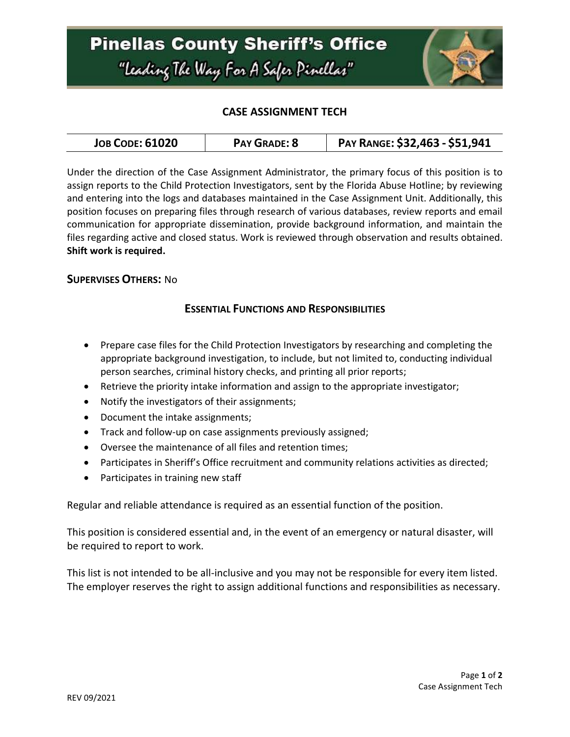

# **CASE ASSIGNMENT TECH**

| <b>JOB CODE: 61020</b><br><b>PAY GRADE: 8</b> | PAY RANGE: \$32,463 - \$51,941 |
|-----------------------------------------------|--------------------------------|
|-----------------------------------------------|--------------------------------|

Under the direction of the Case Assignment Administrator, the primary focus of this position is to assign reports to the Child Protection Investigators, sent by the Florida Abuse Hotline; by reviewing and entering into the logs and databases maintained in the Case Assignment Unit. Additionally, this position focuses on preparing files through research of various databases, review reports and email communication for appropriate dissemination, provide background information, and maintain the files regarding active and closed status. Work is reviewed through observation and results obtained. **Shift work is required.** 

### **SUPERVISES OTHERS:** No

### **ESSENTIAL FUNCTIONS AND RESPONSIBILITIES**

- Prepare case files for the Child Protection Investigators by researching and completing the appropriate background investigation, to include, but not limited to, conducting individual person searches, criminal history checks, and printing all prior reports;
- Retrieve the priority intake information and assign to the appropriate investigator;
- Notify the investigators of their assignments;
- Document the intake assignments;
- Track and follow-up on case assignments previously assigned;
- Oversee the maintenance of all files and retention times;
- Participates in Sheriff's Office recruitment and community relations activities as directed;
- Participates in training new staff

Regular and reliable attendance is required as an essential function of the position.

This position is considered essential and, in the event of an emergency or natural disaster, will be required to report to work.

This list is not intended to be all-inclusive and you may not be responsible for every item listed. The employer reserves the right to assign additional functions and responsibilities as necessary.